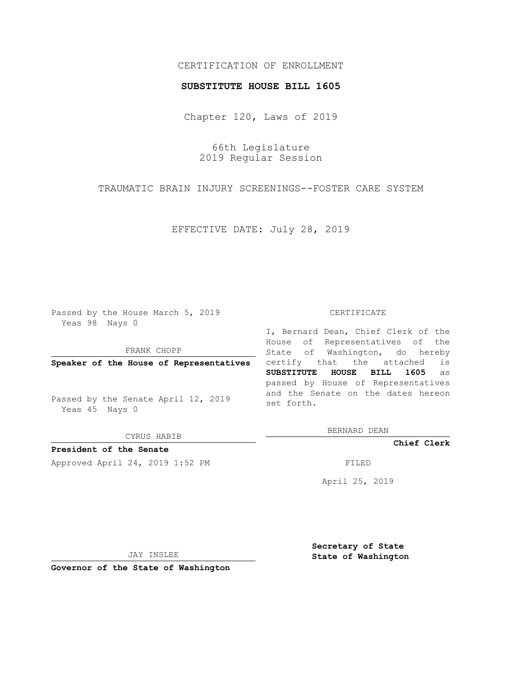# CERTIFICATION OF ENROLLMENT

### **SUBSTITUTE HOUSE BILL 1605**

Chapter 120, Laws of 2019

66th Legislature 2019 Regular Session

TRAUMATIC BRAIN INJURY SCREENINGS--FOSTER CARE SYSTEM

EFFECTIVE DATE: July 28, 2019

Passed by the House March 5, 2019 Yeas 98 Nays 0

FRANK CHOPP

**Speaker of the House of Representatives**

Passed by the Senate April 12, 2019 Yeas 45 Nays 0

CYRUS HABIB

**President of the Senate**

Approved April 24, 2019 1:52 PM FILED

#### CERTIFICATE

I, Bernard Dean, Chief Clerk of the House of Representatives of the State of Washington, do hereby certify that the attached is **SUBSTITUTE HOUSE BILL 1605** as passed by House of Representatives and the Senate on the dates hereon set forth.

BERNARD DEAN

**Chief Clerk**

April 25, 2019

JAY INSLEE

**Governor of the State of Washington**

**Secretary of State State of Washington**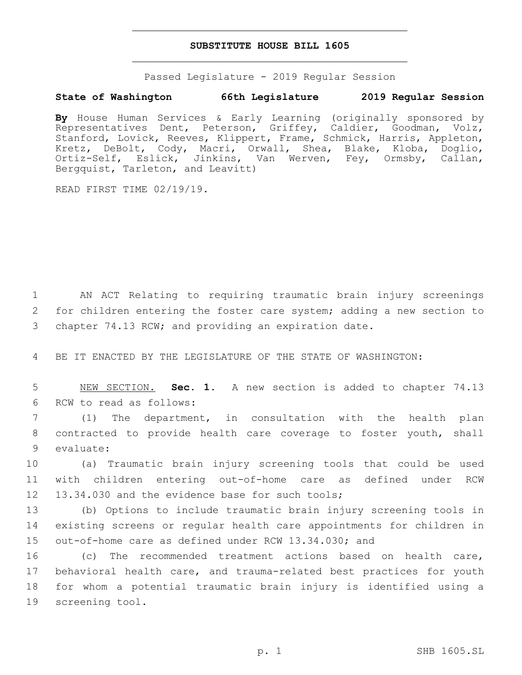## **SUBSTITUTE HOUSE BILL 1605**

Passed Legislature - 2019 Regular Session

# **State of Washington 66th Legislature 2019 Regular Session**

**By** House Human Services & Early Learning (originally sponsored by Representatives Dent, Peterson, Griffey, Caldier, Goodman, Volz, Stanford, Lovick, Reeves, Klippert, Frame, Schmick, Harris, Appleton, Kretz, DeBolt, Cody, Macri, Orwall, Shea, Blake, Kloba, Doglio, Ortiz-Self, Eslick, Jinkins, Van Werven, Fey, Ormsby, Callan, Bergquist, Tarleton, and Leavitt)

READ FIRST TIME 02/19/19.

1 AN ACT Relating to requiring traumatic brain injury screenings 2 for children entering the foster care system; adding a new section to 3 chapter 74.13 RCW; and providing an expiration date.

4 BE IT ENACTED BY THE LEGISLATURE OF THE STATE OF WASHINGTON:

5 NEW SECTION. **Sec. 1.** A new section is added to chapter 74.13 6 RCW to read as follows:

7 (1) The department, in consultation with the health plan 8 contracted to provide health care coverage to foster youth, shall 9 evaluate:

10 (a) Traumatic brain injury screening tools that could be used 11 with children entering out-of-home care as defined under RCW 12 13.34.030 and the evidence base for such tools;

13 (b) Options to include traumatic brain injury screening tools in 14 existing screens or regular health care appointments for children in 15 out-of-home care as defined under RCW 13.34.030; and

 (c) The recommended treatment actions based on health care, behavioral health care, and trauma-related best practices for youth for whom a potential traumatic brain injury is identified using a 19 screening tool.